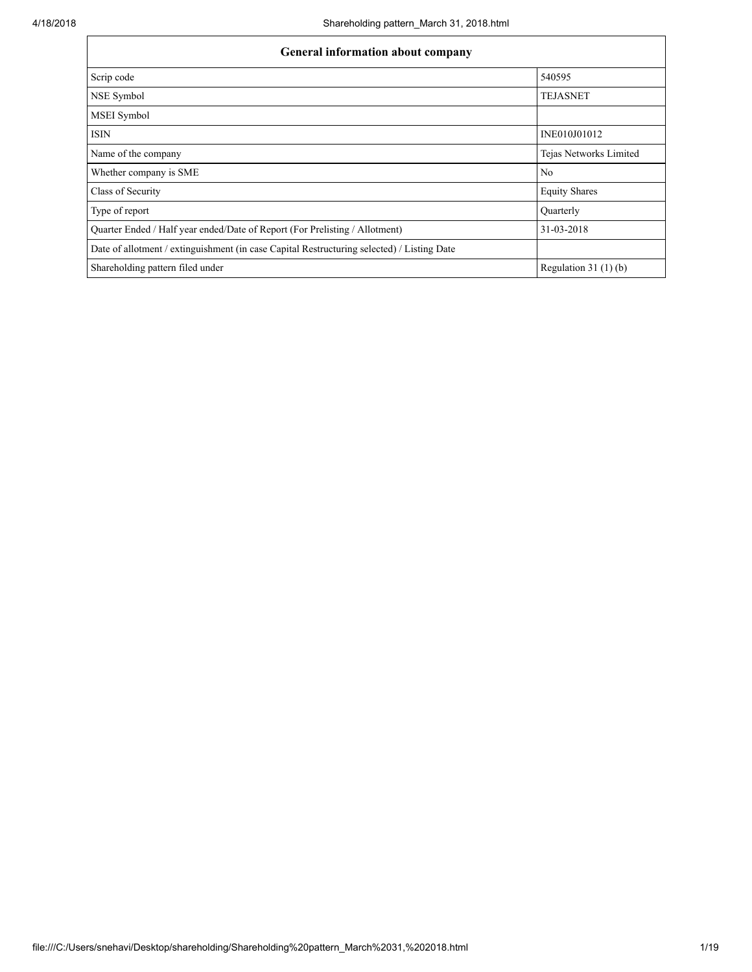| <b>General information about company</b>                                                   |                        |  |  |  |  |  |  |
|--------------------------------------------------------------------------------------------|------------------------|--|--|--|--|--|--|
| Scrip code                                                                                 | 540595                 |  |  |  |  |  |  |
| NSE Symbol                                                                                 | <b>TEJASNET</b>        |  |  |  |  |  |  |
| MSEI Symbol                                                                                |                        |  |  |  |  |  |  |
| <b>ISIN</b>                                                                                | INE010J01012           |  |  |  |  |  |  |
| Name of the company                                                                        | Tejas Networks Limited |  |  |  |  |  |  |
| Whether company is SME                                                                     | N <sub>0</sub>         |  |  |  |  |  |  |
| Class of Security                                                                          | <b>Equity Shares</b>   |  |  |  |  |  |  |
| Type of report                                                                             | <b>Ouarterly</b>       |  |  |  |  |  |  |
| Quarter Ended / Half year ended/Date of Report (For Prelisting / Allotment)                | 31-03-2018             |  |  |  |  |  |  |
| Date of allotment / extinguishment (in case Capital Restructuring selected) / Listing Date |                        |  |  |  |  |  |  |
| Shareholding pattern filed under                                                           | Regulation 31 $(1)(b)$ |  |  |  |  |  |  |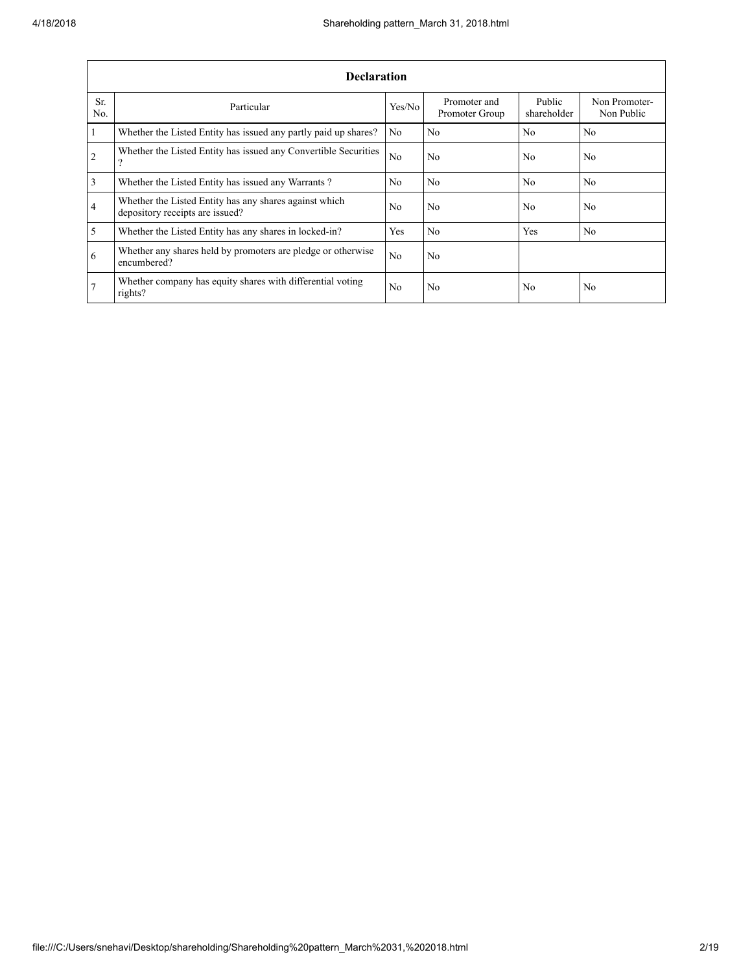|                         | <b>Declaration</b>                                                                        |                |                                |                       |                             |
|-------------------------|-------------------------------------------------------------------------------------------|----------------|--------------------------------|-----------------------|-----------------------------|
| Sr.<br>No.              | Particular                                                                                | Yes/No         | Promoter and<br>Promoter Group | Public<br>shareholder | Non Promoter-<br>Non Public |
| $\overline{1}$          | Whether the Listed Entity has issued any partly paid up shares?                           | N <sub>0</sub> | No.                            | N <sub>0</sub>        | N <sub>0</sub>              |
| $\overline{2}$          | Whether the Listed Entity has issued any Convertible Securities<br>?                      | N <sub>0</sub> | No.                            | N <sub>0</sub>        | N <sub>0</sub>              |
| $\overline{\mathbf{3}}$ | Whether the Listed Entity has issued any Warrants?                                        | N <sub>0</sub> | No.                            | N <sub>0</sub>        | N <sub>0</sub>              |
| $\overline{4}$          | Whether the Listed Entity has any shares against which<br>depository receipts are issued? | No             | No.                            | N <sub>0</sub>        | N <sub>0</sub>              |
| $\overline{5}$          | Whether the Listed Entity has any shares in locked-in?                                    | <b>Yes</b>     | No.                            | Yes                   | No                          |
| 6                       | Whether any shares held by promoters are pledge or otherwise<br>encumbered?               | N <sub>0</sub> | No.                            |                       |                             |
| 7                       | Whether company has equity shares with differential voting<br>rights?                     | N <sub>0</sub> | No.                            | N <sub>0</sub>        | N <sub>0</sub>              |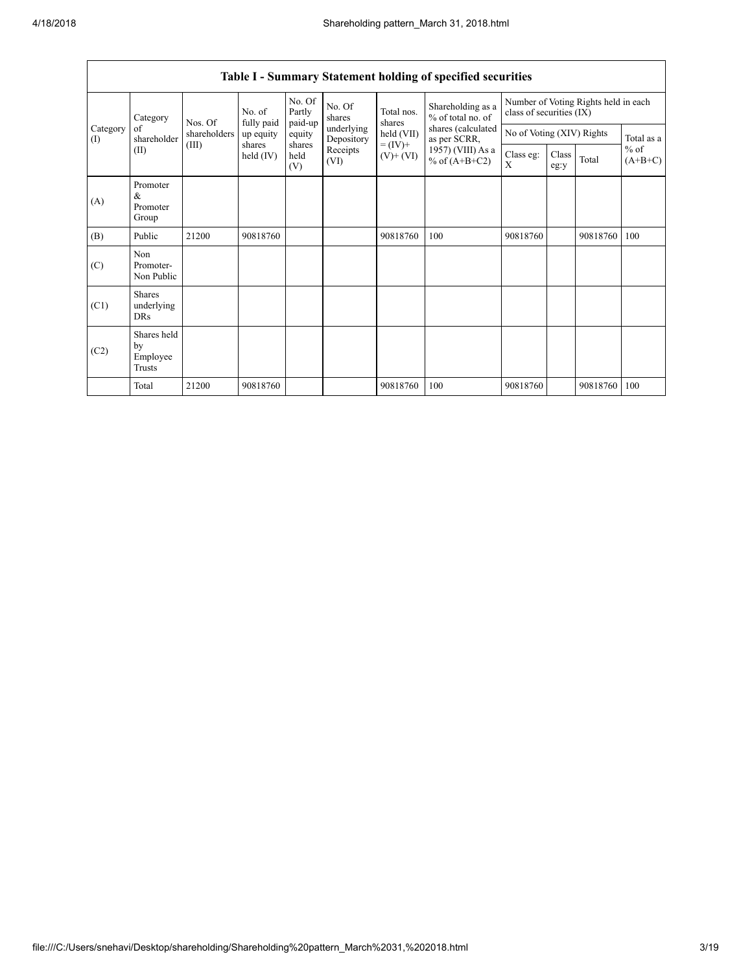|                 | Category<br>of<br>shareholder<br>(II)     | Nos. Of<br>fully paid<br>shareholders<br>(III)<br>shares | No. of    | No. Of<br>Partly<br>paid-up | No. Of<br>shares         | Total nos.<br>shares         | Shareholding as a<br>% of total no. of<br>shares (calculated<br>as per SCRR,<br>1957) (VIII) As a<br>% of $(A+B+C2)$ | Number of Voting Rights held in each<br>class of securities (IX) |               |          |                     |
|-----------------|-------------------------------------------|----------------------------------------------------------|-----------|-----------------------------|--------------------------|------------------------------|----------------------------------------------------------------------------------------------------------------------|------------------------------------------------------------------|---------------|----------|---------------------|
| Category<br>(I) |                                           |                                                          | up equity | equity                      | underlying<br>Depository | held (VII)                   |                                                                                                                      | No of Voting (XIV) Rights                                        |               |          | Total as a          |
|                 |                                           |                                                          | held (IV) | shares<br>held<br>(V)       | Receipts<br>(VI)         | $= (IV) +$<br>$(V)$ + $(VI)$ |                                                                                                                      | Class eg:<br>X                                                   | Class<br>eg:y | Total    | $%$ of<br>$(A+B+C)$ |
| (A)             | Promoter<br>&<br>Promoter<br>Group        |                                                          |           |                             |                          |                              |                                                                                                                      |                                                                  |               |          |                     |
| (B)             | Public                                    | 21200                                                    | 90818760  |                             |                          | 90818760                     | 100                                                                                                                  | 90818760                                                         |               | 90818760 | 100                 |
| (C)             | Non<br>Promoter-<br>Non Public            |                                                          |           |                             |                          |                              |                                                                                                                      |                                                                  |               |          |                     |
| (C1)            | <b>Shares</b><br>underlying<br><b>DRs</b> |                                                          |           |                             |                          |                              |                                                                                                                      |                                                                  |               |          |                     |
| (C2)            | Shares held<br>by<br>Employee<br>Trusts   |                                                          |           |                             |                          |                              |                                                                                                                      |                                                                  |               |          |                     |
|                 | Total                                     | 21200                                                    | 90818760  |                             |                          | 90818760                     | 100                                                                                                                  | 90818760                                                         |               | 90818760 | 100                 |

## Table I - Summary Statement holding of specified securities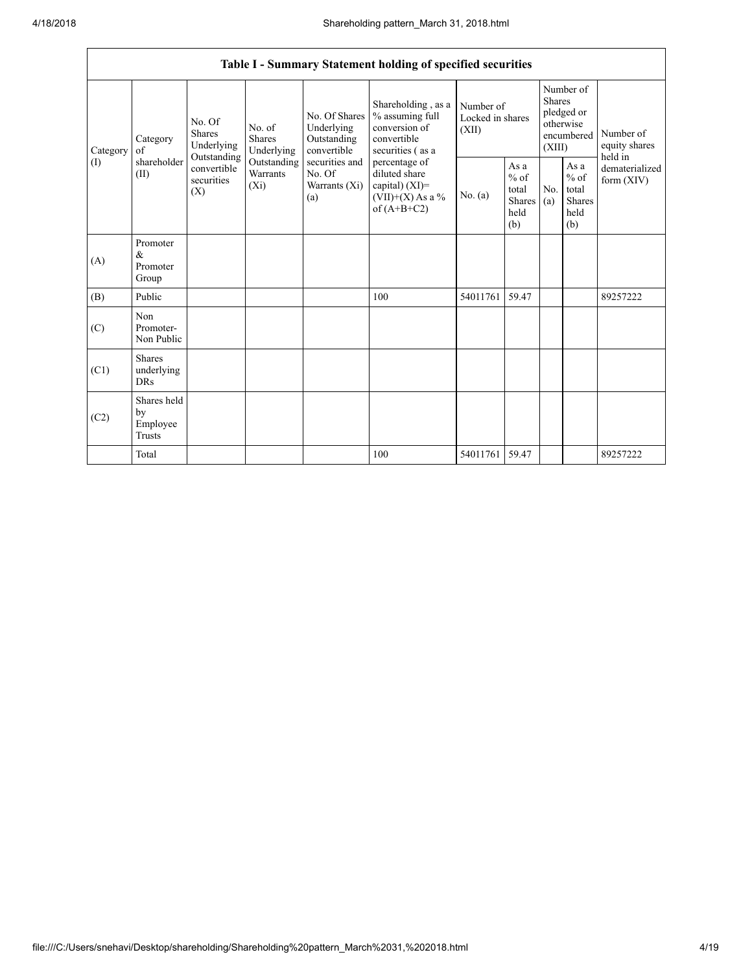|          |                                                                                                                                                                  |                                                                                            |                                       |                                                                                                                                                        | Table I - Summary Statement holding of specified securities |                                                         |                                |                                                                               |  |                                       |
|----------|------------------------------------------------------------------------------------------------------------------------------------------------------------------|--------------------------------------------------------------------------------------------|---------------------------------------|--------------------------------------------------------------------------------------------------------------------------------------------------------|-------------------------------------------------------------|---------------------------------------------------------|--------------------------------|-------------------------------------------------------------------------------|--|---------------------------------------|
| Category | No. Of<br><b>Shares</b><br>Category<br>Underlying<br>of                                                                                                          |                                                                                            | No. of<br><b>Shares</b><br>Underlying | Shareholding, as a<br>No. Of Shares<br>% assuming full<br>Underlying<br>conversion of<br>convertible<br>Outstanding<br>convertible<br>securities (as a |                                                             | Number of<br>Locked in shares<br>(XII)                  |                                | Number of<br><b>Shares</b><br>pledged or<br>otherwise<br>encumbered<br>(XIII) |  | Number of<br>equity shares<br>held in |
| (1)      | Outstanding<br>shareholder<br>Outstanding<br>securities and<br>convertible<br>Warrants<br>No. Of<br>(II)<br>securities<br>$(X_i)$<br>Warrants (Xi)<br>(X)<br>(a) | percentage of<br>diluted share<br>capital) $(XI)$ =<br>$(VII)+(X)$ As a %<br>of $(A+B+C2)$ | No. $(a)$                             | As a<br>$\%$ of<br>total<br>Shares<br>held<br>(b)                                                                                                      | N <sub>0</sub><br>(a)                                       | As a<br>$%$ of<br>total<br><b>Shares</b><br>held<br>(b) | dematerialized<br>form $(XIV)$ |                                                                               |  |                                       |
| (A)      | Promoter<br>&<br>Promoter<br>Group                                                                                                                               |                                                                                            |                                       |                                                                                                                                                        |                                                             |                                                         |                                |                                                                               |  |                                       |
| (B)      | Public                                                                                                                                                           |                                                                                            |                                       |                                                                                                                                                        | 100                                                         | 54011761                                                | 59.47                          |                                                                               |  | 89257222                              |
| (C)      | Non<br>Promoter-<br>Non Public                                                                                                                                   |                                                                                            |                                       |                                                                                                                                                        |                                                             |                                                         |                                |                                                                               |  |                                       |
| (C1)     | <b>Shares</b><br>underlying<br><b>DRs</b>                                                                                                                        |                                                                                            |                                       |                                                                                                                                                        |                                                             |                                                         |                                |                                                                               |  |                                       |
| (C2)     | Shares held<br>by<br>Employee<br>Trusts                                                                                                                          |                                                                                            |                                       |                                                                                                                                                        |                                                             |                                                         |                                |                                                                               |  |                                       |
|          | Total                                                                                                                                                            |                                                                                            |                                       |                                                                                                                                                        | 100                                                         | 54011761 59.47                                          |                                |                                                                               |  | 89257222                              |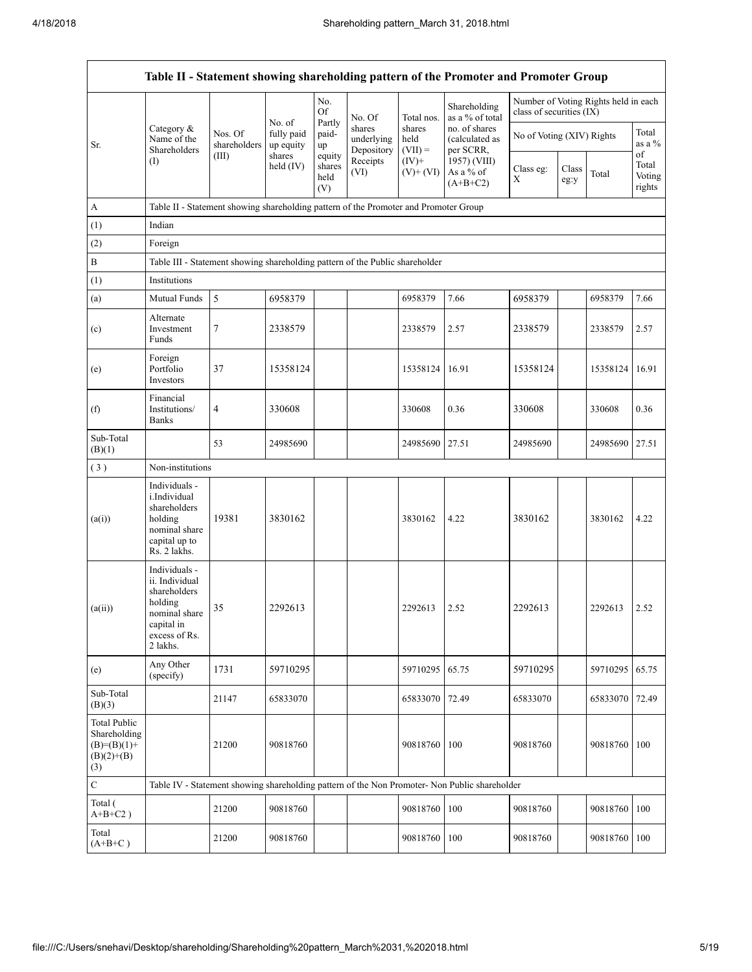Г

| Table II - Statement showing shareholding pattern of the Promoter and Promoter Group |                                                                                                                        |                                                                                      |                                   |                                 |                                    |                             |                                                                                               |                                                                  |               |                |                                 |  |  |
|--------------------------------------------------------------------------------------|------------------------------------------------------------------------------------------------------------------------|--------------------------------------------------------------------------------------|-----------------------------------|---------------------------------|------------------------------------|-----------------------------|-----------------------------------------------------------------------------------------------|------------------------------------------------------------------|---------------|----------------|---------------------------------|--|--|
|                                                                                      |                                                                                                                        |                                                                                      |                                   | No.<br>Of                       | No. Of                             | Total nos.                  | Shareholding<br>as a % of total                                                               | Number of Voting Rights held in each<br>class of securities (IX) |               |                |                                 |  |  |
| Sr.                                                                                  | Category &<br>Name of the<br>Shareholders                                                                              | Nos. Of<br>shareholders                                                              | No. of<br>fully paid<br>up equity | Partly<br>paid-<br>up           | shares<br>underlying<br>Depository | shares<br>held<br>$(VII) =$ | no. of shares<br>(calculated as<br>per SCRR.                                                  | No of Voting (XIV) Rights                                        |               |                | Total<br>as a %                 |  |  |
|                                                                                      | (1)                                                                                                                    | (III)                                                                                | shares<br>held $(IV)$             | equity<br>shares<br>held<br>(V) | Receipts<br>(VI)                   | $(IV)+$<br>$(V)$ + $(VI)$   | 1957) (VIII)<br>As a % of<br>$(A+B+C2)$                                                       | Class eg:<br>X                                                   | Class<br>eg:y | Total          | of<br>Total<br>Voting<br>rights |  |  |
| A                                                                                    |                                                                                                                        | Table II - Statement showing shareholding pattern of the Promoter and Promoter Group |                                   |                                 |                                    |                             |                                                                                               |                                                                  |               |                |                                 |  |  |
| (1)                                                                                  | Indian                                                                                                                 |                                                                                      |                                   |                                 |                                    |                             |                                                                                               |                                                                  |               |                |                                 |  |  |
| (2)                                                                                  | Foreign                                                                                                                |                                                                                      |                                   |                                 |                                    |                             |                                                                                               |                                                                  |               |                |                                 |  |  |
| $\, {\bf B}$                                                                         | Table III - Statement showing shareholding pattern of the Public shareholder                                           |                                                                                      |                                   |                                 |                                    |                             |                                                                                               |                                                                  |               |                |                                 |  |  |
| (1)                                                                                  | Institutions                                                                                                           |                                                                                      |                                   |                                 |                                    |                             |                                                                                               |                                                                  |               |                |                                 |  |  |
| (a)                                                                                  | Mutual Funds                                                                                                           | 5                                                                                    | 6958379                           |                                 |                                    | 6958379                     | 7.66                                                                                          | 6958379                                                          |               | 6958379        | 7.66                            |  |  |
| (c)                                                                                  | Alternate<br>Investment<br>Funds                                                                                       | 7                                                                                    | 2338579                           |                                 |                                    | 2338579                     | 2.57                                                                                          | 2338579                                                          |               | 2338579        | 2.57                            |  |  |
| (e)                                                                                  | Foreign<br>Portfolio<br>Investors                                                                                      | 37                                                                                   | 15358124                          |                                 |                                    | 15358124                    | 16.91                                                                                         | 15358124                                                         |               | 15358124       | 16.91                           |  |  |
| (f)                                                                                  | Financial<br>Institutions/<br><b>Banks</b>                                                                             | 4                                                                                    | 330608                            |                                 |                                    | 330608                      | 0.36                                                                                          | 330608                                                           |               | 330608         | 0.36                            |  |  |
| Sub-Total<br>(B)(1)                                                                  |                                                                                                                        | 53                                                                                   | 24985690                          |                                 |                                    | 24985690                    | 27.51                                                                                         | 24985690                                                         |               | 24985690 27.51 |                                 |  |  |
| (3)                                                                                  | Non-institutions                                                                                                       |                                                                                      |                                   |                                 |                                    |                             |                                                                                               |                                                                  |               |                |                                 |  |  |
| (a(i))                                                                               | Individuals -<br>i.Individual<br>shareholders<br>holding<br>nominal share<br>capital up to<br>Rs. 2 lakhs.             | 19381                                                                                | 3830162                           |                                 |                                    | 3830162                     | 4.22                                                                                          | 3830162                                                          |               | 3830162        | 4.22                            |  |  |
| (a(ii))                                                                              | Individuals -<br>ii. Individual<br>shareholders<br>holding<br>nominal share<br>capital in<br>excess of Rs.<br>2 lakhs. | 35                                                                                   | 2292613                           |                                 |                                    | 2292613                     | 2.52                                                                                          | 2292613                                                          |               | 2292613        | 2.52                            |  |  |
| (e)                                                                                  | Any Other<br>(specify)                                                                                                 | 1731                                                                                 | 59710295                          |                                 |                                    | 59710295                    | 65.75                                                                                         | 59710295                                                         |               | 59710295       | 65.75                           |  |  |
| Sub-Total<br>(B)(3)                                                                  |                                                                                                                        | 21147                                                                                | 65833070                          |                                 |                                    | 65833070                    | 72.49                                                                                         | 65833070                                                         |               | 65833070       | 72.49                           |  |  |
| <b>Total Public</b><br>Shareholding<br>$(B)= (B)(1) +$<br>$(B)(2)+(B)$<br>(3)        |                                                                                                                        | 21200                                                                                | 90818760                          |                                 |                                    | 90818760                    | 100                                                                                           | 90818760                                                         |               | 90818760       | 100                             |  |  |
| $\mathbf C$                                                                          |                                                                                                                        |                                                                                      |                                   |                                 |                                    |                             | Table IV - Statement showing shareholding pattern of the Non Promoter- Non Public shareholder |                                                                  |               |                |                                 |  |  |
| Total (<br>$A+B+C2$ )                                                                |                                                                                                                        | 21200                                                                                | 90818760                          |                                 |                                    | 90818760                    | 100                                                                                           | 90818760                                                         |               | 90818760 100   |                                 |  |  |
| Total<br>$(A+B+C)$                                                                   |                                                                                                                        | 21200                                                                                | 90818760                          |                                 |                                    | 90818760                    | 100                                                                                           | 90818760                                                         |               | 90818760 100   |                                 |  |  |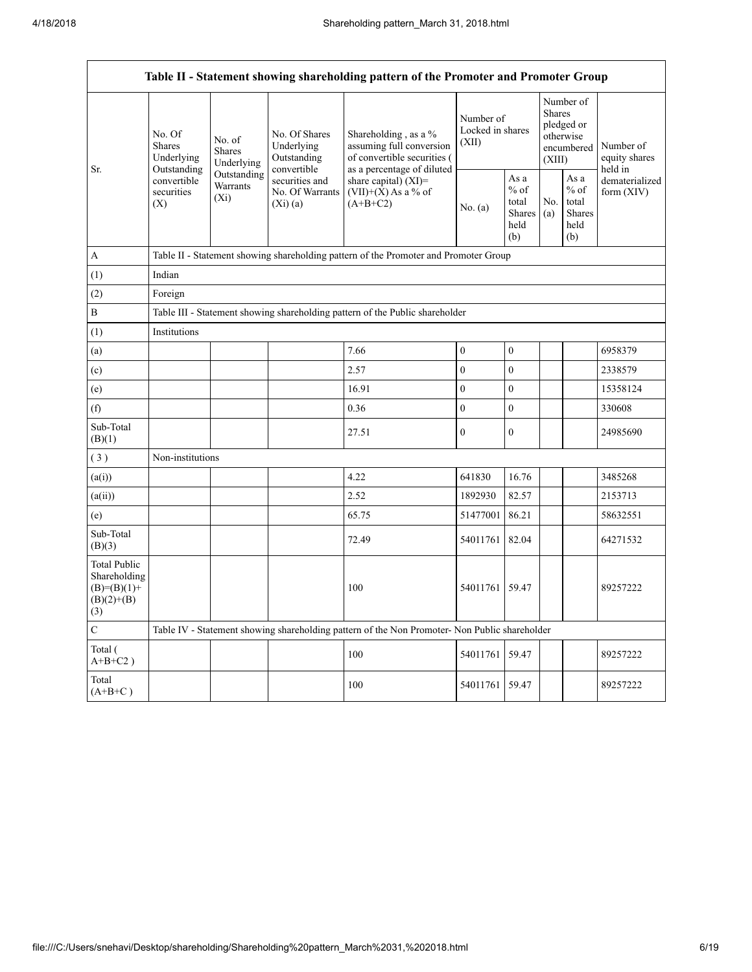Г

|                                                                               | Table II - Statement showing shareholding pattern of the Promoter and Promoter Group |                                                                                    |                                                           |                                                                                                               |                                        |                                                          |                                                                               |                                                  |                                       |  |  |
|-------------------------------------------------------------------------------|--------------------------------------------------------------------------------------|------------------------------------------------------------------------------------|-----------------------------------------------------------|---------------------------------------------------------------------------------------------------------------|----------------------------------------|----------------------------------------------------------|-------------------------------------------------------------------------------|--------------------------------------------------|---------------------------------------|--|--|
| Sr.                                                                           | No. Of<br>Shares<br>Underlying<br>Outstanding                                        | No. of<br><b>Shares</b><br>Underlying                                              | No. Of Shares<br>Underlying<br>Outstanding<br>convertible | Shareholding, as a %<br>assuming full conversion<br>of convertible securities (<br>as a percentage of diluted | Number of<br>Locked in shares<br>(XII) |                                                          | Number of<br><b>Shares</b><br>pledged or<br>otherwise<br>encumbered<br>(XIII) |                                                  | Number of<br>equity shares<br>held in |  |  |
|                                                                               | convertible<br>securities<br>(X)                                                     | Outstanding<br>securities and<br>Warrants<br>No. Of Warrants<br>$(X_i)$<br>(Xi)(a) |                                                           | share capital) $(XI)$ =<br>$(VII)+(X)$ As a % of<br>$(A+B+C2)$                                                | No. (a)                                | As a<br>$\%$ of<br>total<br><b>Shares</b><br>held<br>(b) | No.<br>(a)                                                                    | As a<br>$%$ of<br>total<br>Shares<br>held<br>(b) | dematerialized<br>form (XIV)          |  |  |
| $\boldsymbol{A}$                                                              |                                                                                      |                                                                                    |                                                           | Table II - Statement showing shareholding pattern of the Promoter and Promoter Group                          |                                        |                                                          |                                                                               |                                                  |                                       |  |  |
| (1)                                                                           | Indian                                                                               |                                                                                    |                                                           |                                                                                                               |                                        |                                                          |                                                                               |                                                  |                                       |  |  |
| (2)                                                                           | Foreign                                                                              |                                                                                    |                                                           |                                                                                                               |                                        |                                                          |                                                                               |                                                  |                                       |  |  |
| $\, {\bf B}$                                                                  |                                                                                      |                                                                                    |                                                           | Table III - Statement showing shareholding pattern of the Public shareholder                                  |                                        |                                                          |                                                                               |                                                  |                                       |  |  |
| (1)                                                                           | Institutions                                                                         |                                                                                    |                                                           |                                                                                                               |                                        |                                                          |                                                                               |                                                  |                                       |  |  |
| (a)                                                                           |                                                                                      |                                                                                    |                                                           | 7.66                                                                                                          | $\boldsymbol{0}$                       | $\boldsymbol{0}$                                         |                                                                               |                                                  | 6958379                               |  |  |
| (c)                                                                           |                                                                                      |                                                                                    |                                                           | 2.57                                                                                                          | $\mathbf{0}$                           | $\mathbf{0}$                                             |                                                                               |                                                  | 2338579                               |  |  |
| (e)                                                                           |                                                                                      |                                                                                    |                                                           | 16.91                                                                                                         | $\boldsymbol{0}$                       | $\mathbf{0}$                                             |                                                                               |                                                  | 15358124                              |  |  |
| (f)                                                                           |                                                                                      |                                                                                    |                                                           | 0.36                                                                                                          | $\mathbf{0}$                           | $\mathbf{0}$                                             |                                                                               |                                                  | 330608                                |  |  |
| Sub-Total<br>(B)(1)                                                           |                                                                                      |                                                                                    |                                                           | 27.51                                                                                                         | $\boldsymbol{0}$                       | $\boldsymbol{0}$                                         |                                                                               |                                                  | 24985690                              |  |  |
| (3)                                                                           | Non-institutions                                                                     |                                                                                    |                                                           |                                                                                                               |                                        |                                                          |                                                                               |                                                  |                                       |  |  |
| (a(i))                                                                        |                                                                                      |                                                                                    |                                                           | 4.22                                                                                                          | 641830                                 | 16.76                                                    |                                                                               |                                                  | 3485268                               |  |  |
| (a(ii))                                                                       |                                                                                      |                                                                                    |                                                           | 2.52                                                                                                          | 1892930                                | 82.57                                                    |                                                                               |                                                  | 2153713                               |  |  |
| (e)                                                                           |                                                                                      |                                                                                    |                                                           | 65.75                                                                                                         | 51477001                               | 86.21                                                    |                                                                               |                                                  | 58632551                              |  |  |
| Sub-Total<br>(B)(3)                                                           |                                                                                      |                                                                                    |                                                           | 72.49                                                                                                         | 54011761                               | 82.04                                                    |                                                                               |                                                  | 64271532                              |  |  |
| <b>Total Public</b><br>Shareholding<br>$(B)= (B)(1) +$<br>$(B)(2)+(B)$<br>(3) |                                                                                      |                                                                                    |                                                           | 100                                                                                                           | 54011761 59.47                         |                                                          |                                                                               |                                                  | 89257222                              |  |  |
| $\mathbf C$                                                                   |                                                                                      |                                                                                    |                                                           | Table IV - Statement showing shareholding pattern of the Non Promoter- Non Public shareholder                 |                                        |                                                          |                                                                               |                                                  |                                       |  |  |
| Total (<br>$A+B+C2$ )                                                         |                                                                                      |                                                                                    |                                                           | 100                                                                                                           | 54011761                               | 59.47                                                    |                                                                               |                                                  | 89257222                              |  |  |
| Total<br>$(A+B+C)$                                                            |                                                                                      |                                                                                    |                                                           | 100                                                                                                           | 54011761 59.47                         |                                                          |                                                                               |                                                  | 89257222                              |  |  |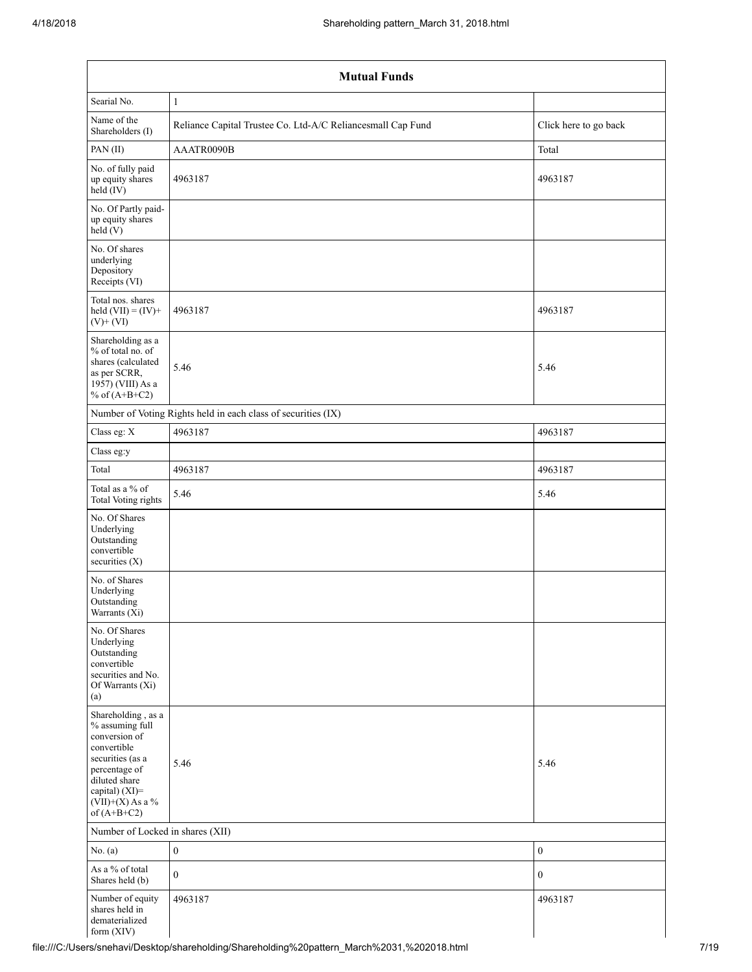| <b>Mutual Funds</b>                                                                                                                                                                  |                                                               |                       |  |  |  |  |  |  |  |
|--------------------------------------------------------------------------------------------------------------------------------------------------------------------------------------|---------------------------------------------------------------|-----------------------|--|--|--|--|--|--|--|
| Searial No.                                                                                                                                                                          | $\mathbf{1}$                                                  |                       |  |  |  |  |  |  |  |
| Name of the<br>Shareholders (I)                                                                                                                                                      | Reliance Capital Trustee Co. Ltd-A/C Reliancesmall Cap Fund   | Click here to go back |  |  |  |  |  |  |  |
| PAN(II)                                                                                                                                                                              | AAATR0090B                                                    | Total                 |  |  |  |  |  |  |  |
| No. of fully paid<br>up equity shares<br>$held$ (IV)                                                                                                                                 | 4963187                                                       | 4963187               |  |  |  |  |  |  |  |
| No. Of Partly paid-<br>up equity shares<br>held(V)                                                                                                                                   |                                                               |                       |  |  |  |  |  |  |  |
| No. Of shares<br>underlying<br>Depository<br>Receipts (VI)                                                                                                                           |                                                               |                       |  |  |  |  |  |  |  |
| Total nos. shares<br>held $(VII) = (IV) +$<br>$(V)$ + $(VI)$                                                                                                                         | 4963187                                                       | 4963187               |  |  |  |  |  |  |  |
| Shareholding as a<br>% of total no. of<br>shares (calculated<br>as per SCRR,<br>1957) (VIII) As a<br>% of $(A+B+C2)$                                                                 | 5.46                                                          | 5.46                  |  |  |  |  |  |  |  |
|                                                                                                                                                                                      | Number of Voting Rights held in each class of securities (IX) |                       |  |  |  |  |  |  |  |
| Class eg: X                                                                                                                                                                          | 4963187                                                       | 4963187               |  |  |  |  |  |  |  |
| Class eg:y                                                                                                                                                                           |                                                               |                       |  |  |  |  |  |  |  |
| Total                                                                                                                                                                                | 4963187                                                       | 4963187               |  |  |  |  |  |  |  |
| Total as a % of<br><b>Total Voting rights</b>                                                                                                                                        | 5.46                                                          | 5.46                  |  |  |  |  |  |  |  |
| No. Of Shares<br>Underlying<br>Outstanding<br>convertible<br>securities (X)                                                                                                          |                                                               |                       |  |  |  |  |  |  |  |
| No. of Shares<br>Underlying<br>Outstanding<br>Warrants (Xi)                                                                                                                          |                                                               |                       |  |  |  |  |  |  |  |
| No. Of Shares<br>Underlying<br>Outstanding<br>convertible<br>securities and No.<br>Of Warrants (Xi)<br>(a)                                                                           |                                                               |                       |  |  |  |  |  |  |  |
| Shareholding, as a<br>% assuming full<br>conversion of<br>convertible<br>securities (as a<br>percentage of<br>diluted share<br>capital) (XI)=<br>$(VII)+(X)$ As a %<br>of $(A+B+C2)$ | 5.46                                                          | 5.46                  |  |  |  |  |  |  |  |
| Number of Locked in shares (XII)                                                                                                                                                     |                                                               |                       |  |  |  |  |  |  |  |
| No. (a)                                                                                                                                                                              | $\boldsymbol{0}$                                              | $\boldsymbol{0}$      |  |  |  |  |  |  |  |
| As a % of total<br>Shares held (b)                                                                                                                                                   | $\mathbf{0}$                                                  | $\mathbf{0}$          |  |  |  |  |  |  |  |
| Number of equity<br>shares held in<br>dematerialized<br>form (XIV)                                                                                                                   | 4963187                                                       | 4963187               |  |  |  |  |  |  |  |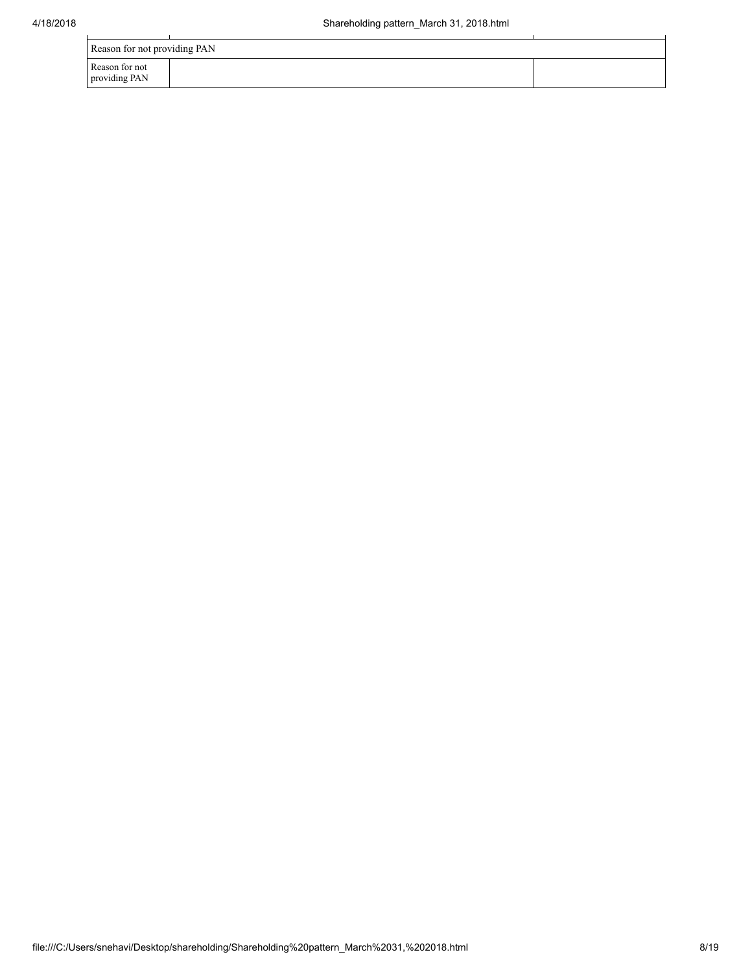| Reason for not providing PAN    |  |  |  |  |  |  |  |
|---------------------------------|--|--|--|--|--|--|--|
| Reason for not<br>providing PAN |  |  |  |  |  |  |  |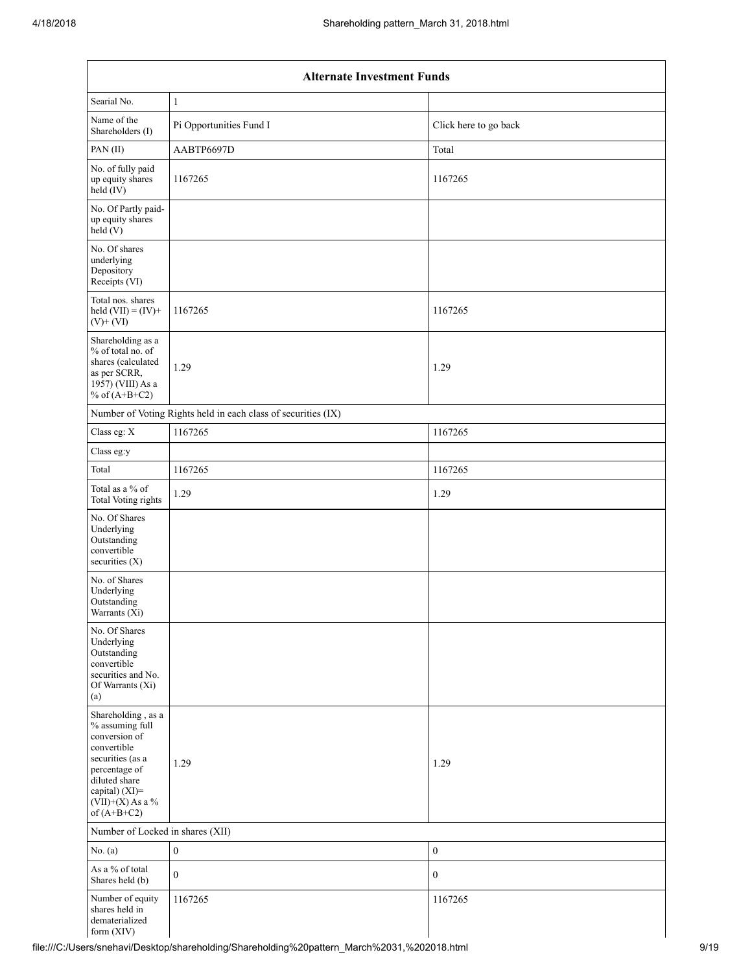|                                                                                                                                                                                      | <b>Alternate Investment Funds</b>                             |                       |  |  |  |  |  |  |  |
|--------------------------------------------------------------------------------------------------------------------------------------------------------------------------------------|---------------------------------------------------------------|-----------------------|--|--|--|--|--|--|--|
| Searial No.                                                                                                                                                                          | $\mathbf{1}$                                                  |                       |  |  |  |  |  |  |  |
| Name of the<br>Shareholders (I)                                                                                                                                                      | Pi Opportunities Fund I                                       | Click here to go back |  |  |  |  |  |  |  |
| PAN(II)                                                                                                                                                                              | AABTP6697D                                                    | Total                 |  |  |  |  |  |  |  |
| No. of fully paid<br>up equity shares<br>$held$ (IV)                                                                                                                                 | 1167265                                                       | 1167265               |  |  |  |  |  |  |  |
| No. Of Partly paid-<br>up equity shares<br>held(V)                                                                                                                                   |                                                               |                       |  |  |  |  |  |  |  |
| No. Of shares<br>underlying<br>Depository<br>Receipts (VI)                                                                                                                           |                                                               |                       |  |  |  |  |  |  |  |
| Total nos. shares<br>held $(VII) = (IV) +$<br>$(V)$ + $(VI)$                                                                                                                         | 1167265                                                       | 1167265               |  |  |  |  |  |  |  |
| Shareholding as a<br>% of total no. of<br>shares (calculated<br>as per SCRR,<br>1957) (VIII) As a<br>% of $(A+B+C2)$                                                                 | 1.29                                                          | 1.29                  |  |  |  |  |  |  |  |
|                                                                                                                                                                                      | Number of Voting Rights held in each class of securities (IX) |                       |  |  |  |  |  |  |  |
| Class eg: X                                                                                                                                                                          | 1167265                                                       | 1167265               |  |  |  |  |  |  |  |
| Class eg:y                                                                                                                                                                           |                                                               |                       |  |  |  |  |  |  |  |
| Total                                                                                                                                                                                | 1167265                                                       | 1167265               |  |  |  |  |  |  |  |
| Total as a % of<br>Total Voting rights                                                                                                                                               | 1.29                                                          | 1.29                  |  |  |  |  |  |  |  |
| No. Of Shares<br>Underlying<br>Outstanding<br>convertible<br>securities (X)                                                                                                          |                                                               |                       |  |  |  |  |  |  |  |
| No. of Shares<br>Underlying<br>Outstanding<br>Warrants $(X_i)$                                                                                                                       |                                                               |                       |  |  |  |  |  |  |  |
| No. Of Shares<br>Underlying<br>Outstanding<br>convertible<br>securities and No.<br>Of Warrants (Xi)<br>(a)                                                                           |                                                               |                       |  |  |  |  |  |  |  |
| Shareholding, as a<br>% assuming full<br>conversion of<br>convertible<br>securities (as a<br>percentage of<br>diluted share<br>capital) (XI)=<br>$(VII)+(X)$ As a %<br>of $(A+B+C2)$ | 1.29                                                          | 1.29                  |  |  |  |  |  |  |  |
| Number of Locked in shares (XII)                                                                                                                                                     |                                                               |                       |  |  |  |  |  |  |  |
| No. (a)                                                                                                                                                                              | $\boldsymbol{0}$                                              | $\boldsymbol{0}$      |  |  |  |  |  |  |  |
| As a % of total<br>Shares held (b)                                                                                                                                                   | $\boldsymbol{0}$                                              | $\boldsymbol{0}$      |  |  |  |  |  |  |  |
| Number of equity<br>shares held in<br>dematerialized<br>form (XIV)                                                                                                                   | 1167265                                                       | 1167265               |  |  |  |  |  |  |  |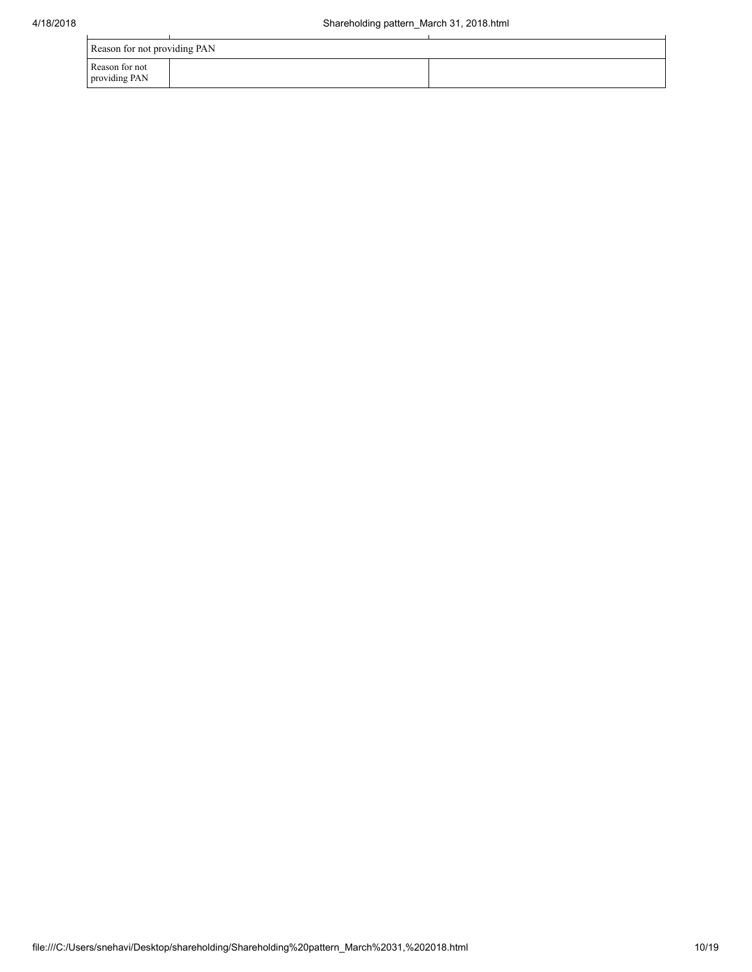| Reason for not providing PAN    |  |  |  |  |  |  |
|---------------------------------|--|--|--|--|--|--|
| Reason for not<br>providing PAN |  |  |  |  |  |  |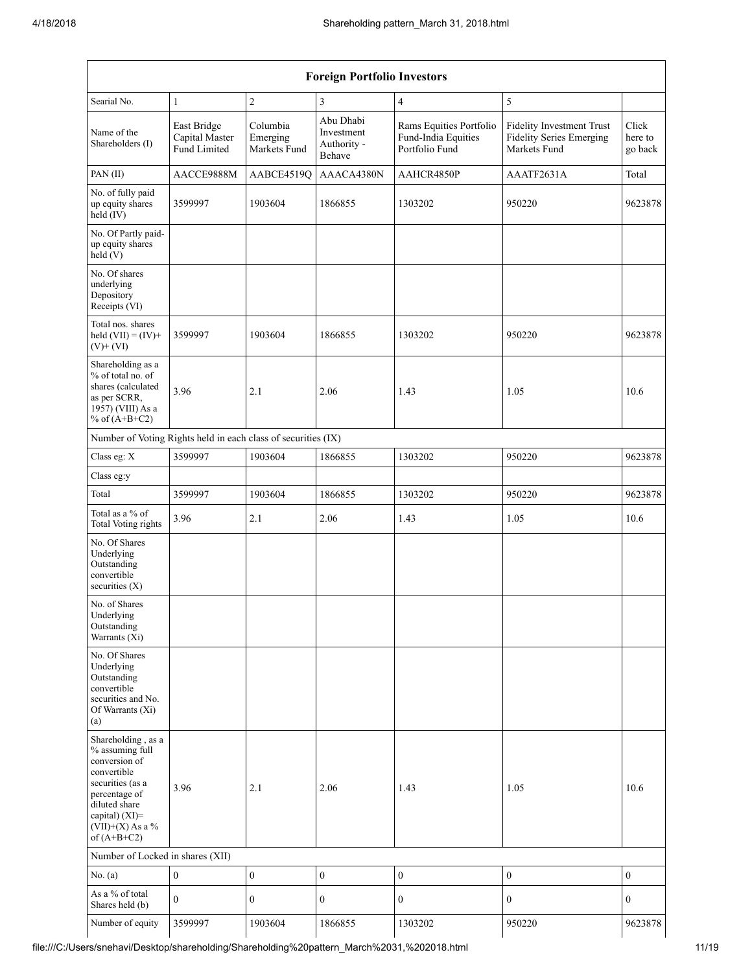|                                                                                                                                                                                         | <b>Foreign Portfolio Investors</b>            |                                      |                                                  |                                                                  |                                                                              |                             |  |  |  |  |
|-----------------------------------------------------------------------------------------------------------------------------------------------------------------------------------------|-----------------------------------------------|--------------------------------------|--------------------------------------------------|------------------------------------------------------------------|------------------------------------------------------------------------------|-----------------------------|--|--|--|--|
| Searial No.                                                                                                                                                                             | $\mathbf{1}$                                  | $\overline{c}$                       | 3                                                | 4                                                                | 5                                                                            |                             |  |  |  |  |
| Name of the<br>Shareholders (I)                                                                                                                                                         | East Bridge<br>Capital Master<br>Fund Limited | Columbia<br>Emerging<br>Markets Fund | Abu Dhabi<br>Investment<br>Authority -<br>Behave | Rams Equities Portfolio<br>Fund-India Equities<br>Portfolio Fund | Fidelity Investment Trust<br><b>Fidelity Series Emerging</b><br>Markets Fund | Click<br>here to<br>go back |  |  |  |  |
| PAN(II)                                                                                                                                                                                 | AACCE9888M                                    | AABCE4519Q                           | AAACA4380N                                       | AAHCR4850P                                                       | AAATF2631A                                                                   | Total                       |  |  |  |  |
| No. of fully paid<br>up equity shares<br>held (IV)                                                                                                                                      | 3599997                                       | 1903604                              | 1866855                                          | 1303202                                                          | 950220                                                                       | 9623878                     |  |  |  |  |
| No. Of Partly paid-<br>up equity shares<br>held $(V)$                                                                                                                                   |                                               |                                      |                                                  |                                                                  |                                                                              |                             |  |  |  |  |
| No. Of shares<br>underlying<br>Depository<br>Receipts (VI)                                                                                                                              |                                               |                                      |                                                  |                                                                  |                                                                              |                             |  |  |  |  |
| Total nos. shares<br>held $(VII) = (IV) +$<br>$(V)$ + $(VI)$                                                                                                                            | 3599997                                       | 1903604                              | 1866855                                          | 1303202                                                          | 950220                                                                       | 9623878                     |  |  |  |  |
| Shareholding as a<br>% of total no. of<br>shares (calculated<br>as per SCRR,<br>1957) (VIII) As a<br>% of $(A+B+C2)$                                                                    | 3.96                                          | 2.1                                  | 2.06                                             | 1.43                                                             | 1.05                                                                         | 10.6                        |  |  |  |  |
| Number of Voting Rights held in each class of securities (IX)                                                                                                                           |                                               |                                      |                                                  |                                                                  |                                                                              |                             |  |  |  |  |
| Class eg: X                                                                                                                                                                             | 3599997                                       | 1903604                              | 1866855                                          | 1303202                                                          | 950220                                                                       | 9623878                     |  |  |  |  |
| Class eg:y                                                                                                                                                                              |                                               |                                      |                                                  |                                                                  |                                                                              |                             |  |  |  |  |
| Total                                                                                                                                                                                   | 3599997                                       | 1903604                              | 1866855                                          | 1303202                                                          | 950220                                                                       | 9623878                     |  |  |  |  |
| Total as a % of<br><b>Total Voting rights</b>                                                                                                                                           | 3.96                                          | 2.1                                  | 2.06                                             | 1.43                                                             | 1.05                                                                         | 10.6                        |  |  |  |  |
| No. Of Shares<br>Underlying<br>Outstanding<br>convertible<br>securities $(X)$                                                                                                           |                                               |                                      |                                                  |                                                                  |                                                                              |                             |  |  |  |  |
| No. of Shares<br>Underlying<br>Outstanding<br>Warrants (Xi)                                                                                                                             |                                               |                                      |                                                  |                                                                  |                                                                              |                             |  |  |  |  |
| No. Of Shares<br>Underlying<br>Outstanding<br>convertible<br>securities and No.<br>Of Warrants (Xi)<br>(a)                                                                              |                                               |                                      |                                                  |                                                                  |                                                                              |                             |  |  |  |  |
| Shareholding, as a<br>% assuming full<br>conversion of<br>convertible<br>securities (as a<br>percentage of<br>diluted share<br>capital) $(XI)$ =<br>$(VII)+(X)$ As a %<br>of $(A+B+C2)$ | 3.96                                          | 2.1                                  | 2.06                                             | 1.43                                                             | 1.05                                                                         | 10.6                        |  |  |  |  |
| Number of Locked in shares (XII)                                                                                                                                                        |                                               |                                      |                                                  |                                                                  |                                                                              |                             |  |  |  |  |
| No. (a)                                                                                                                                                                                 | $\boldsymbol{0}$                              | $\boldsymbol{0}$                     | $\mathbf{0}$                                     | $\boldsymbol{0}$                                                 | $\boldsymbol{0}$                                                             | $\boldsymbol{0}$            |  |  |  |  |
| As a % of total<br>Shares held (b)                                                                                                                                                      | $\mathbf{0}$                                  | $\mathbf{0}$                         | $\boldsymbol{0}$                                 | $\boldsymbol{0}$                                                 | $\boldsymbol{0}$                                                             | $\boldsymbol{0}$            |  |  |  |  |
| Number of equity                                                                                                                                                                        | 3599997                                       | 1903604                              | 1866855                                          | 1303202                                                          | 950220                                                                       | 9623878                     |  |  |  |  |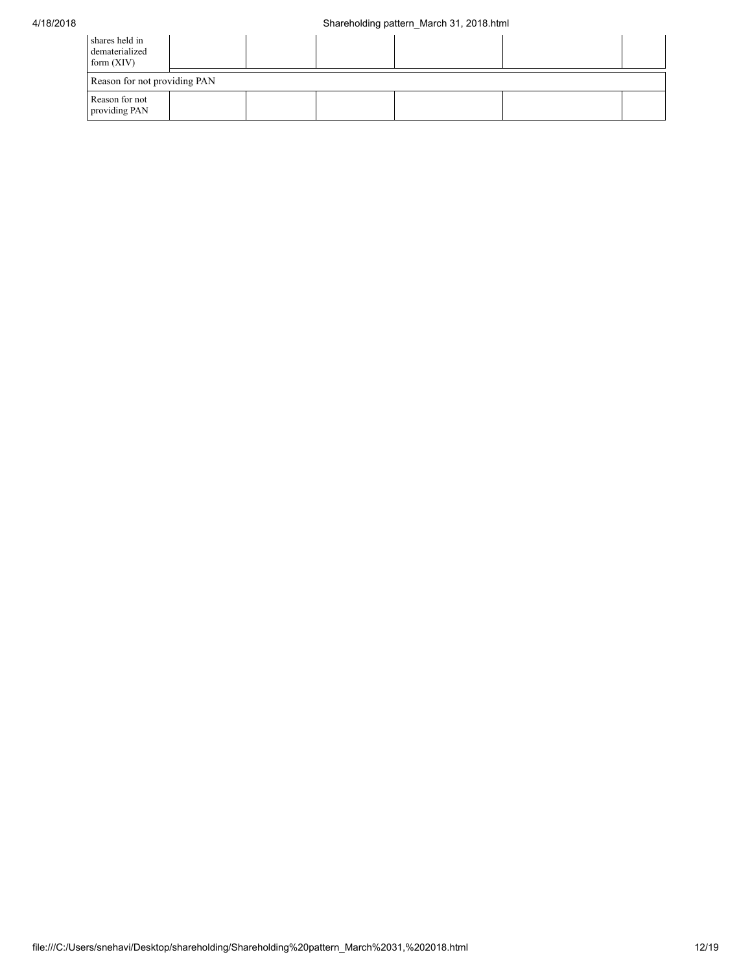| shares held in<br>dematerialized<br>form $(XIV)$ |                              |  |  |  |  |  |  |  |
|--------------------------------------------------|------------------------------|--|--|--|--|--|--|--|
|                                                  | Reason for not providing PAN |  |  |  |  |  |  |  |
| Reason for not<br>providing PAN                  |                              |  |  |  |  |  |  |  |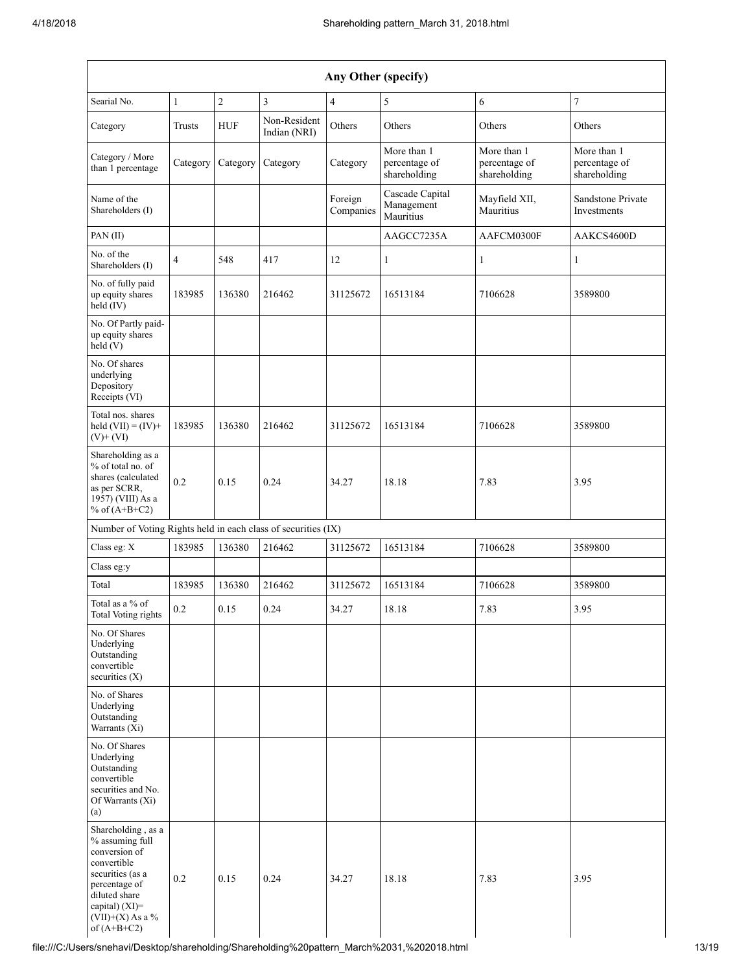| Any Other (specify)                                                                                                                                                                     |              |            |                              |                      |                                              |                                              |                                              |  |  |
|-----------------------------------------------------------------------------------------------------------------------------------------------------------------------------------------|--------------|------------|------------------------------|----------------------|----------------------------------------------|----------------------------------------------|----------------------------------------------|--|--|
| Searial No.                                                                                                                                                                             | $\mathbf{1}$ | $\sqrt{2}$ | 3                            | $\overline{4}$       | 5                                            | 6                                            | 7                                            |  |  |
| Category                                                                                                                                                                                | Trusts       | <b>HUF</b> | Non-Resident<br>Indian (NRI) | Others               | Others                                       | Others                                       | Others                                       |  |  |
| Category / More<br>than 1 percentage                                                                                                                                                    | Category     | Category   | Category                     | Category             | More than 1<br>percentage of<br>shareholding | More than 1<br>percentage of<br>shareholding | More than 1<br>percentage of<br>shareholding |  |  |
| Name of the<br>Shareholders (I)                                                                                                                                                         |              |            |                              | Foreign<br>Companies | Cascade Capital<br>Management<br>Mauritius   | Mayfield XII,<br>Mauritius                   | Sandstone Private<br>Investments             |  |  |
| PAN (II)                                                                                                                                                                                |              |            |                              |                      | AAGCC7235A                                   | AAFCM0300F                                   | AAKCS4600D                                   |  |  |
| No. of the<br>Shareholders (I)                                                                                                                                                          | 4            | 548        | 417                          | 12                   | 1                                            | $\mathbf{1}$                                 | 1                                            |  |  |
| No. of fully paid<br>up equity shares<br>held (IV)                                                                                                                                      | 183985       | 136380     | 216462                       | 31125672             | 16513184                                     | 7106628                                      | 3589800                                      |  |  |
| No. Of Partly paid-<br>up equity shares<br>held(V)                                                                                                                                      |              |            |                              |                      |                                              |                                              |                                              |  |  |
| No. Of shares<br>underlying<br>Depository<br>Receipts (VI)                                                                                                                              |              |            |                              |                      |                                              |                                              |                                              |  |  |
| Total nos. shares<br>held $(VII) = (IV) +$<br>$(V)$ + $(VI)$                                                                                                                            | 183985       | 136380     | 216462                       | 31125672             | 16513184                                     | 7106628                                      | 3589800                                      |  |  |
| Shareholding as a<br>% of total no. of<br>shares (calculated<br>as per SCRR,<br>1957) (VIII) As a<br>% of $(A+B+C2)$                                                                    | 0.2          | 0.15       | 0.24                         | 34.27                | 18.18                                        | 7.83                                         | 3.95                                         |  |  |
| Number of Voting Rights held in each class of securities (IX)                                                                                                                           |              |            |                              |                      |                                              |                                              |                                              |  |  |
| Class eg: X                                                                                                                                                                             | 183985       | 136380     | 216462                       | 31125672             | 16513184                                     | 7106628                                      | 3589800                                      |  |  |
| Class eg:y                                                                                                                                                                              |              |            |                              |                      |                                              |                                              |                                              |  |  |
| Total                                                                                                                                                                                   | 183985       | 136380     | 216462                       | 31125672             | 16513184                                     | 7106628                                      | 3589800                                      |  |  |
| Total as a % of<br>Total Voting rights                                                                                                                                                  | 0.2          | 0.15       | 0.24                         | 34.27                | 18.18                                        | 7.83                                         | 3.95                                         |  |  |
| No. Of Shares<br>Underlying<br>Outstanding<br>convertible<br>securities $(X)$                                                                                                           |              |            |                              |                      |                                              |                                              |                                              |  |  |
| No. of Shares<br>Underlying<br>Outstanding<br>Warrants (Xi)                                                                                                                             |              |            |                              |                      |                                              |                                              |                                              |  |  |
| No. Of Shares<br>Underlying<br>Outstanding<br>convertible<br>securities and No.<br>Of Warrants (Xi)<br>(a)                                                                              |              |            |                              |                      |                                              |                                              |                                              |  |  |
| Shareholding, as a<br>% assuming full<br>conversion of<br>convertible<br>securities (as a<br>percentage of<br>diluted share<br>capital) $(XI)$ =<br>$(VII)+(X)$ As a %<br>of $(A+B+C2)$ | 0.2          | 0.15       | 0.24                         | 34.27                | 18.18                                        | 7.83                                         | 3.95                                         |  |  |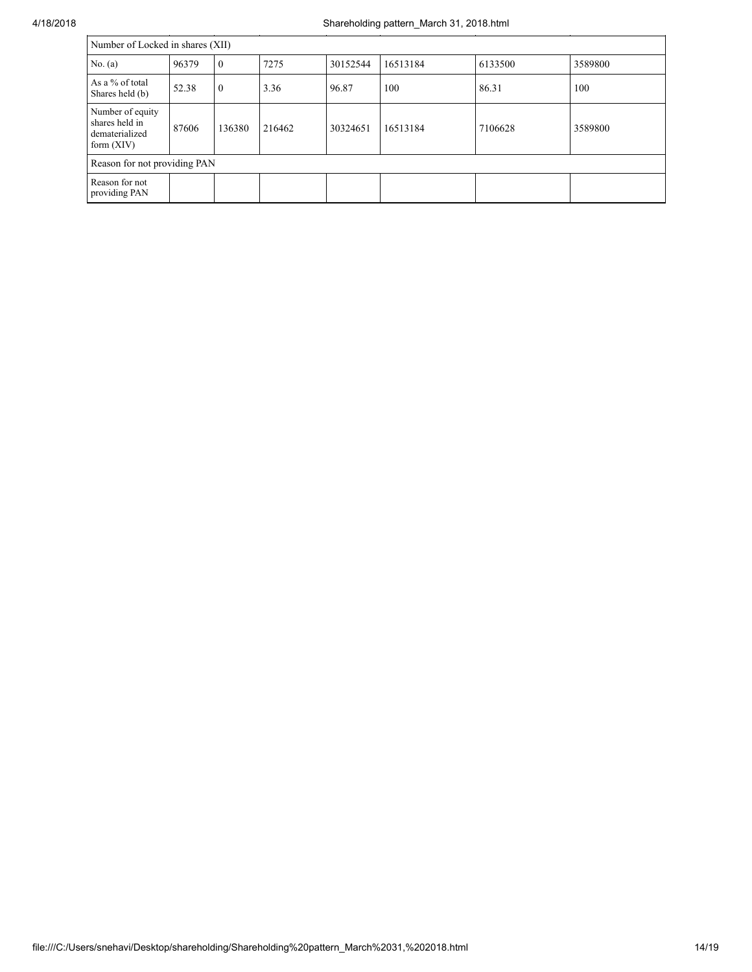| Number of Locked in shares (XII)                                     |       |              |        |          |          |         |         |
|----------------------------------------------------------------------|-------|--------------|--------|----------|----------|---------|---------|
| No. $(a)$                                                            | 96379 | $\mathbf{0}$ | 7275   | 30152544 | 16513184 | 6133500 | 3589800 |
| As a % of total<br>Shares held (b)                                   | 52.38 | $\mathbf{0}$ | 3.36   | 96.87    | 100      | 86.31   | 100     |
| Number of equity<br>shares held in<br>dematerialized<br>form $(XIV)$ | 87606 | 136380       | 216462 | 30324651 | 16513184 | 7106628 | 3589800 |
| Reason for not providing PAN                                         |       |              |        |          |          |         |         |
| Reason for not<br>providing PAN                                      |       |              |        |          |          |         |         |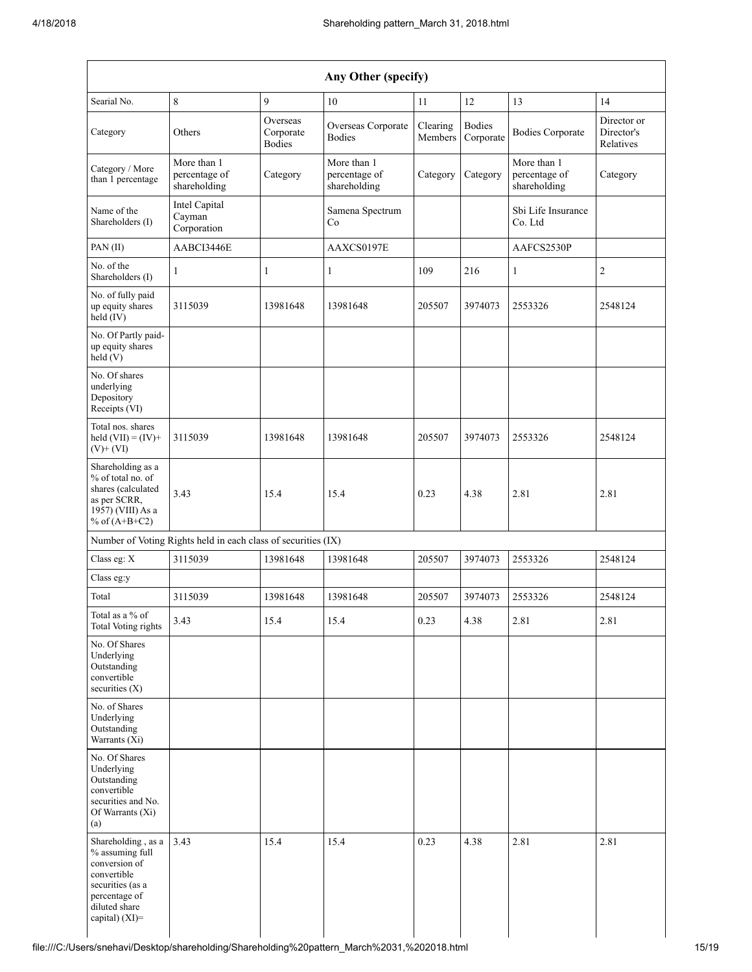|                                                                                                                                                  |                                                               |                                        | Any Other (specify)                          |                     |                            |                                              |                                        |
|--------------------------------------------------------------------------------------------------------------------------------------------------|---------------------------------------------------------------|----------------------------------------|----------------------------------------------|---------------------|----------------------------|----------------------------------------------|----------------------------------------|
| Searial No.                                                                                                                                      | 8                                                             | 9                                      | 10                                           | 11                  | 12                         | 13                                           | 14                                     |
| Category                                                                                                                                         | Others                                                        | Overseas<br>Corporate<br><b>Bodies</b> | Overseas Corporate<br><b>Bodies</b>          | Clearing<br>Members | <b>Bodies</b><br>Corporate | <b>Bodies Corporate</b>                      | Director or<br>Director's<br>Relatives |
| Category / More<br>than 1 percentage                                                                                                             | More than 1<br>percentage of<br>shareholding                  | Category                               | More than 1<br>percentage of<br>shareholding | Category            | Category                   | More than 1<br>percentage of<br>shareholding | Category                               |
| Name of the<br>Shareholders (I)                                                                                                                  | Intel Capital<br>Cayman<br>Corporation                        |                                        | Samena Spectrum<br>Co                        |                     |                            | Sbi Life Insurance<br>Co. Ltd                |                                        |
| PAN (II)                                                                                                                                         | AABCI3446E                                                    |                                        | AAXCS0197E                                   |                     |                            | AAFCS2530P                                   |                                        |
| No. of the<br>Shareholders (I)                                                                                                                   | $\mathbf{1}$                                                  | $\mathbf{1}$                           | $\mathbf{1}$                                 | 109                 | 216                        | $\mathbf{1}$                                 | $\overline{c}$                         |
| No. of fully paid<br>up equity shares<br>held (IV)                                                                                               | 3115039                                                       | 13981648                               | 13981648                                     | 205507              | 3974073                    | 2553326                                      | 2548124                                |
| No. Of Partly paid-<br>up equity shares<br>held (V)                                                                                              |                                                               |                                        |                                              |                     |                            |                                              |                                        |
| No. Of shares<br>underlying<br>Depository<br>Receipts (VI)                                                                                       |                                                               |                                        |                                              |                     |                            |                                              |                                        |
| Total nos. shares<br>held $(VII) = (IV) +$<br>$(V)+(VI)$                                                                                         | 3115039                                                       | 13981648                               | 13981648                                     | 205507              | 3974073                    | 2553326                                      | 2548124                                |
| Shareholding as a<br>% of total no. of<br>shares (calculated<br>as per SCRR,<br>1957) (VIII) As a<br>% of $(A+B+C2)$                             | 3.43                                                          | 15.4                                   | 15.4                                         | 0.23                | 4.38                       | 2.81                                         | 2.81                                   |
|                                                                                                                                                  | Number of Voting Rights held in each class of securities (IX) |                                        |                                              |                     |                            |                                              |                                        |
| Class eg: X                                                                                                                                      | 3115039                                                       | 13981648                               | 13981648                                     | 205507              | 3974073                    | 2553326                                      | 2548124                                |
| Class eg:y                                                                                                                                       |                                                               |                                        |                                              |                     |                            |                                              |                                        |
| Total                                                                                                                                            | 3115039                                                       | 13981648                               | 13981648                                     | 205507              | 3974073                    | 2553326                                      | 2548124                                |
| Total as a $\%$ of<br><b>Total Voting rights</b>                                                                                                 | 3.43                                                          | 15.4                                   | 15.4                                         | 0.23                | 4.38                       | 2.81                                         | 2.81                                   |
| No. Of Shares<br>Underlying<br>Outstanding<br>convertible<br>securities $(X)$                                                                    |                                                               |                                        |                                              |                     |                            |                                              |                                        |
| No. of Shares<br>Underlying<br>Outstanding<br>Warrants (Xi)                                                                                      |                                                               |                                        |                                              |                     |                            |                                              |                                        |
| No. Of Shares<br>Underlying<br>Outstanding<br>convertible<br>securities and No.<br>Of Warrants (Xi)<br>(a)                                       |                                                               |                                        |                                              |                     |                            |                                              |                                        |
| Shareholding, as a<br>% assuming full<br>conversion of<br>convertible<br>securities (as a<br>percentage of<br>diluted share<br>capital) $(XI)$ = | 3.43                                                          | 15.4                                   | 15.4                                         | 0.23                | 4.38                       | 2.81                                         | 2.81                                   |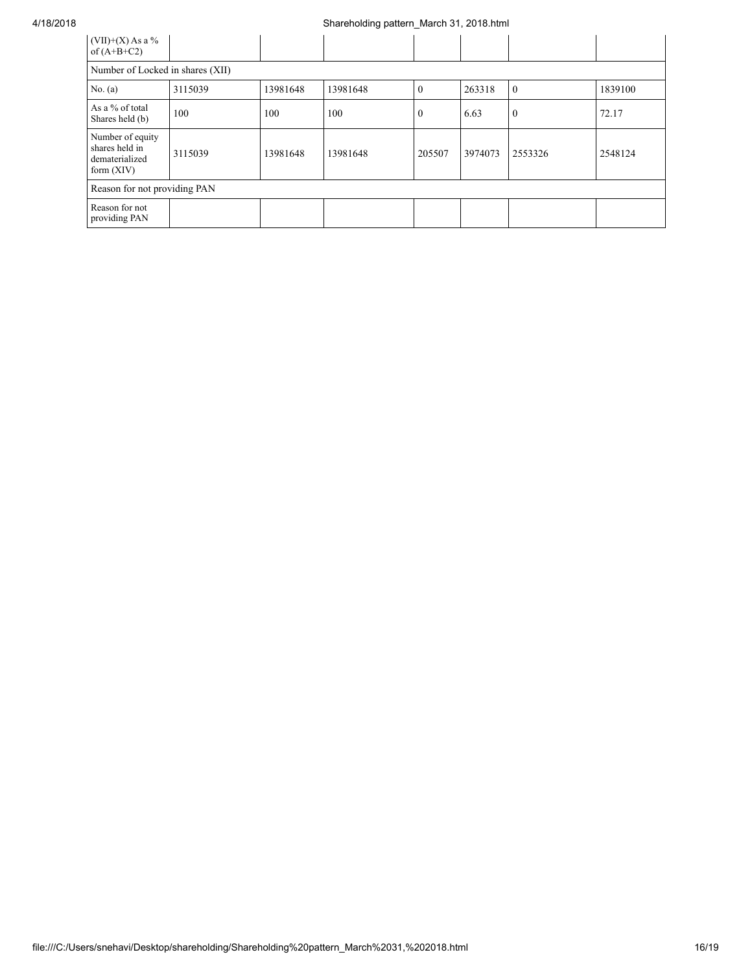| $(VII)+(X)$ As a %<br>of $(A+B+C2)$                                  |                                  |          |          |              |         |              |         |  |  |
|----------------------------------------------------------------------|----------------------------------|----------|----------|--------------|---------|--------------|---------|--|--|
|                                                                      | Number of Locked in shares (XII) |          |          |              |         |              |         |  |  |
| No. $(a)$                                                            | 3115039                          | 13981648 | 13981648 | $\theta$     | 263318  | $\Omega$     | 1839100 |  |  |
| As a % of total<br>Shares held (b)                                   | 100                              | 100      | 100      | $\mathbf{0}$ | 6.63    | $\mathbf{0}$ | 72.17   |  |  |
| Number of equity<br>shares held in<br>dematerialized<br>form $(XIV)$ | 3115039                          | 13981648 | 13981648 | 205507       | 3974073 | 2553326      | 2548124 |  |  |
| Reason for not providing PAN                                         |                                  |          |          |              |         |              |         |  |  |
| Reason for not<br>providing PAN                                      |                                  |          |          |              |         |              |         |  |  |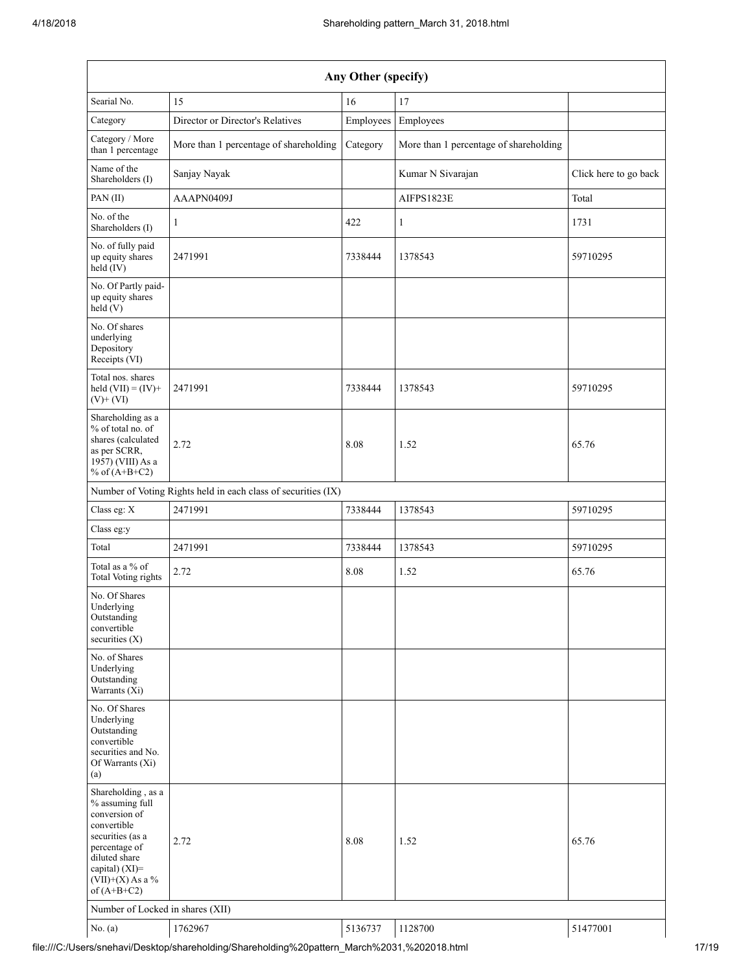| Any Other (specify)                                                                                                                                                                  |                                                               |           |                                        |                       |  |  |  |  |
|--------------------------------------------------------------------------------------------------------------------------------------------------------------------------------------|---------------------------------------------------------------|-----------|----------------------------------------|-----------------------|--|--|--|--|
| Searial No.                                                                                                                                                                          | 15                                                            | 16        | 17                                     |                       |  |  |  |  |
| Category                                                                                                                                                                             | Director or Director's Relatives                              | Employees | Employees                              |                       |  |  |  |  |
| Category / More<br>than 1 percentage                                                                                                                                                 | More than 1 percentage of shareholding                        | Category  | More than 1 percentage of shareholding |                       |  |  |  |  |
| Name of the<br>Shareholders (I)                                                                                                                                                      | Sanjay Nayak                                                  |           | Kumar N Sivarajan                      | Click here to go back |  |  |  |  |
| PAN(II)                                                                                                                                                                              | AAAPN0409J                                                    |           | AIFPS1823E                             | Total                 |  |  |  |  |
| No. of the<br>Shareholders (I)                                                                                                                                                       | 1                                                             | 422       | 1                                      | 1731                  |  |  |  |  |
| No. of fully paid<br>up equity shares<br>$\text{held}(\text{IV})$                                                                                                                    | 2471991                                                       | 7338444   | 1378543                                | 59710295              |  |  |  |  |
| No. Of Partly paid-<br>up equity shares<br>held(V)                                                                                                                                   |                                                               |           |                                        |                       |  |  |  |  |
| No. Of shares<br>underlying<br>Depository<br>Receipts (VI)                                                                                                                           |                                                               |           |                                        |                       |  |  |  |  |
| Total nos. shares<br>held $(VII) = (IV) +$<br>$(V)$ + $(VI)$                                                                                                                         | 2471991                                                       | 7338444   | 1378543                                | 59710295              |  |  |  |  |
| Shareholding as a<br>% of total no. of<br>shares (calculated<br>as per SCRR,<br>1957) (VIII) As a<br>% of $(A+B+C2)$                                                                 | 2.72                                                          | 8.08      | 1.52                                   | 65.76                 |  |  |  |  |
|                                                                                                                                                                                      | Number of Voting Rights held in each class of securities (IX) |           |                                        |                       |  |  |  |  |
| Class eg: X                                                                                                                                                                          | 2471991                                                       | 7338444   | 1378543                                | 59710295              |  |  |  |  |
| Class eg:y                                                                                                                                                                           |                                                               |           |                                        |                       |  |  |  |  |
| Total                                                                                                                                                                                | 2471991                                                       | 7338444   | 1378543                                | 59710295              |  |  |  |  |
| Total as a % of<br><b>Total Voting rights</b>                                                                                                                                        | 2.72                                                          | 8.08      | 1.52                                   | 65.76                 |  |  |  |  |
| No. Of Shares<br>Underlying<br>Outstanding<br>convertible<br>securities $(X)$                                                                                                        |                                                               |           |                                        |                       |  |  |  |  |
| No. of Shares<br>Underlying<br>Outstanding<br>Warrants (Xi)                                                                                                                          |                                                               |           |                                        |                       |  |  |  |  |
| No. Of Shares<br>Underlying<br>Outstanding<br>convertible<br>securities and No.<br>Of Warrants (Xi)<br>(a)                                                                           |                                                               |           |                                        |                       |  |  |  |  |
| Shareholding, as a<br>% assuming full<br>conversion of<br>convertible<br>securities (as a<br>percentage of<br>diluted share<br>capital) (XI)=<br>$(VII)+(X)$ As a %<br>of $(A+B+C2)$ | 2.72                                                          | 8.08      | 1.52                                   | 65.76                 |  |  |  |  |
| Number of Locked in shares (XII)                                                                                                                                                     |                                                               |           |                                        |                       |  |  |  |  |
| No. $(a)$                                                                                                                                                                            | 1762967                                                       | 5136737   | 1128700                                | 51477001              |  |  |  |  |